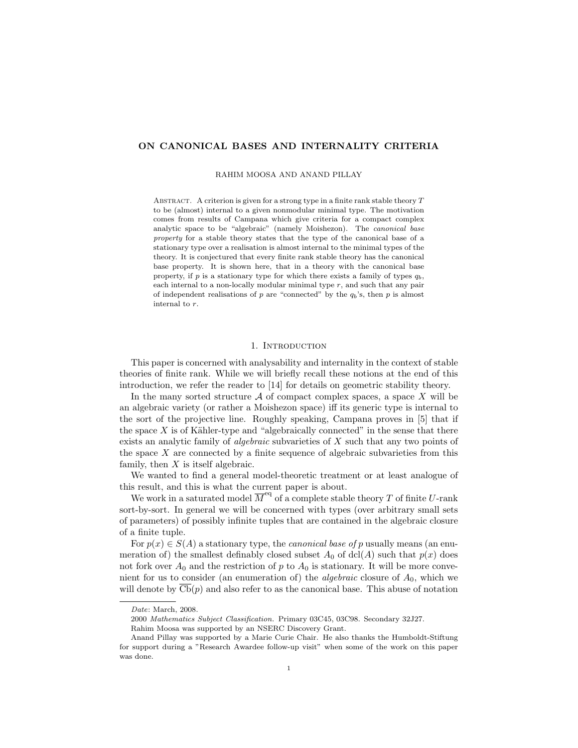# ON CANONICAL BASES AND INTERNALITY CRITERIA

### RAHIM MOOSA AND ANAND PILLAY

ABSTRACT. A criterion is given for a strong type in a finite rank stable theory  $T$ to be (almost) internal to a given nonmodular minimal type. The motivation comes from results of Campana which give criteria for a compact complex analytic space to be "algebraic" (namely Moishezon). The canonical base property for a stable theory states that the type of the canonical base of a stationary type over a realisation is almost internal to the minimal types of the theory. It is conjectured that every finite rank stable theory has the canonical base property. It is shown here, that in a theory with the canonical base property, if p is a stationary type for which there exists a family of types  $q_b$ , each internal to a non-locally modular minimal type  $r$ , and such that any pair of independent realisations of p are "connected" by the  $q_b$ 's, then p is almost internal to r.

### 1. INTRODUCTION

This paper is concerned with analysability and internality in the context of stable theories of finite rank. While we will briefly recall these notions at the end of this introduction, we refer the reader to [14] for details on geometric stability theory.

In the many sorted structure  $A$  of compact complex spaces, a space X will be an algebraic variety (or rather a Moishezon space) iff its generic type is internal to the sort of the projective line. Roughly speaking, Campana proves in [5] that if the space  $X$  is of Kähler-type and "algebraically connected" in the sense that there exists an analytic family of algebraic subvarieties of X such that any two points of the space  $X$  are connected by a finite sequence of algebraic subvarieties from this family, then  $X$  is itself algebraic.

We wanted to find a general model-theoretic treatment or at least analogue of this result, and this is what the current paper is about.

We work in a saturated model  $\overline{M}^{\text{eq}}$  of a complete stable theory T of finite U-rank sort-by-sort. In general we will be concerned with types (over arbitrary small sets of parameters) of possibly infinite tuples that are contained in the algebraic closure of a finite tuple.

For  $p(x) \in S(A)$  a stationary type, the *canonical base of p* usually means (an enumeration of) the smallest definably closed subset  $A_0$  of dcl(A) such that  $p(x)$  does not fork over  $A_0$  and the restriction of p to  $A_0$  is stationary. It will be more convenient for us to consider (an enumeration of) the *algebraic* closure of  $A_0$ , which we will denote by  $\overline{\text{Cb}}(p)$  and also refer to as the canonical base. This abuse of notation

Date: March, 2008.

<sup>2000</sup> Mathematics Subject Classification. Primary 03C45, 03C98. Secondary 32J27.

Rahim Moosa was supported by an NSERC Discovery Grant.

Anand Pillay was supported by a Marie Curie Chair. He also thanks the Humboldt-Stiftung for support during a "Research Awardee follow-up visit" when some of the work on this paper was done.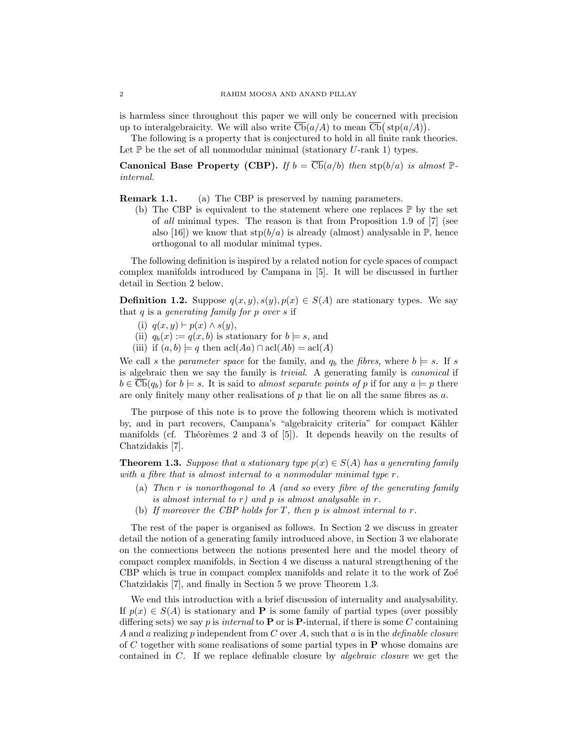is harmless since throughout this paper we will only be concerned with precision up to interalgebraicity. We will also write  $\overline{\text{Cb}}(a/A)$  to mean  $\overline{\text{Cb}}(\text{stp}(a/A)).$ 

The following is a property that is conjectured to hold in all finite rank theories. Let  $\mathbb P$  be the set of all nonmodular minimal (stationary U-rank 1) types.

Canonical Base Property (CBP). If  $b = \overline{\text{Cb}}(a/b)$  then  $\text{stp}(b/a)$  is almost  $\mathbb{P}$ internal.

**Remark 1.1.** (a) The CBP is preserved by naming parameters.

(b) The CBP is equivalent to the statement where one replaces  $\mathbb P$  by the set of all minimal types. The reason is that from Proposition 1.9 of [7] (see also [16]) we know that  $\text{stp}(b/a)$  is already (almost) analysable in  $\mathbb{P}$ , hence orthogonal to all modular minimal types.

The following definition is inspired by a related notion for cycle spaces of compact complex manifolds introduced by Campana in [5]. It will be discussed in further detail in Section 2 below.

**Definition 1.2.** Suppose  $q(x, y), s(y), p(x) \in S(A)$  are stationary types. We say that  $q$  is a generating family for  $p$  over  $s$  if

- (i)  $q(x, y) \vdash p(x) \land s(y),$
- (ii)  $q_b(x) := q(x, b)$  is stationary for  $b \models s$ , and
- (iii) if  $(a, b) \models q$  then  $\operatorname{acl}(Aa) \cap \operatorname{acl}(Ab) = \operatorname{acl}(A)$

We call s the parameter space for the family, and  $q_b$  the fibres, where  $b \models s$ . If s is algebraic then we say the family is trivial. A generating family is canonical if  $b \in \overline{\text{Cb}}(q_b)$  for  $b \models s$ . It is said to *almost separate points of* p if for any  $a \models p$  there are only finitely many other realisations of  $p$  that lie on all the same fibres as  $a$ .

The purpose of this note is to prove the following theorem which is motivated by, and in part recovers, Campana's "algebraicity criteria" for compact Kähler manifolds (cf. Théorèmes 2 and 3 of  $[5]$ ). It depends heavily on the results of Chatzidakis [7].

**Theorem 1.3.** Suppose that a stationary type  $p(x) \in S(A)$  has a generating family with a fibre that is almost internal to a nonmodular minimal type r.

- (a) Then  $r$  is nonorthogonal to  $A$  (and so every fibre of the generating family is almost internal to  $r$ ) and  $p$  is almost analysable in  $r$ .
- (b) If moreover the CBP holds for T, then p is almost internal to  $r$ .

The rest of the paper is organised as follows. In Section 2 we discuss in greater detail the notion of a generating family introduced above, in Section 3 we elaborate on the connections between the notions presented here and the model theory of compact complex manifolds, in Section 4 we discuss a natural strengthening of the CBP which is true in compact complex manifolds and relate it to the work of Zoe Chatzidakis [7], and finally in Section 5 we prove Theorem 1.3.

We end this introduction with a brief discussion of internality and analysability. If  $p(x) \in S(A)$  is stationary and **P** is some family of partial types (over possibly differing sets) we say p is internal to **P** or is **P**-internal, if there is some C containing A and a realizing p independent from C over A, such that a is in the definable closure of C together with some realisations of some partial types in  $P$  whose domains are contained in C. If we replace definable closure by algebraic closure we get the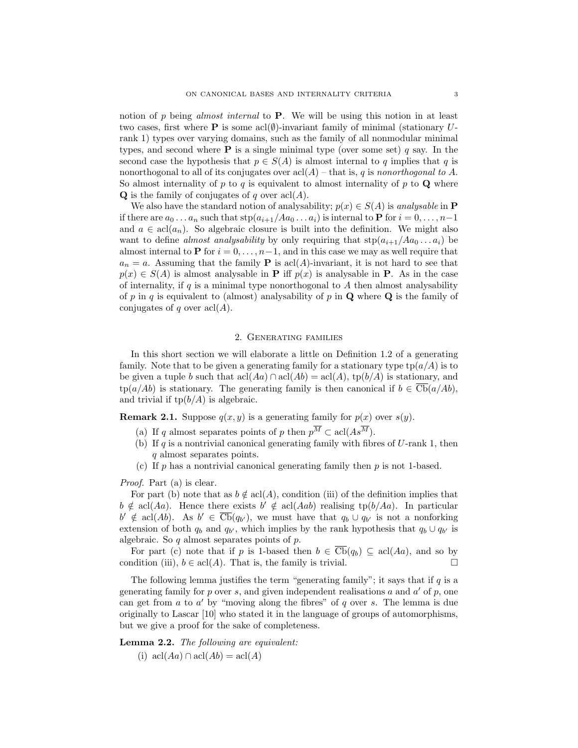notion of p being almost internal to  $P$ . We will be using this notion in at least two cases, first where **P** is some acl $(\emptyset)$ -invariant family of minimal (stationary Urank 1) types over varying domains, such as the family of all nonmodular minimal types, and second where  $P$  is a single minimal type (over some set) q say. In the second case the hypothesis that  $p \in S(A)$  is almost internal to q implies that q is nonorthogonal to all of its conjugates over  $\operatorname{acl}(A)$  – that is, q is nonorthogonal to A. So almost internality of p to q is equivalent to almost internality of p to  $\bf{Q}$  where **Q** is the family of conjugates of q over  $\text{acl}(A)$ .

We also have the standard notion of analysability;  $p(x) \in S(A)$  is analysable in **P** if there are  $a_0 \ldots a_n$  such that  $\text{stp}(a_{i+1}/Aa_0 \ldots a_i)$  is internal to **P** for  $i = 0, \ldots, n-1$ and  $a \in \text{acl}(a_n)$ . So algebraic closure is built into the definition. We might also want to define *almost analysability* by only requiring that  $\text{stp}(a_{i+1}/Aa_0 \ldots a_i)$  be almost internal to **P** for  $i = 0, \ldots, n-1$ , and in this case we may as well require that  $a_n = a$ . Assuming that the family **P** is  $\text{acl}(A)$ -invariant, it is not hard to see that  $p(x) \in S(A)$  is almost analysable in **P** iff  $p(x)$  is analysable in **P**. As in the case of internality, if  $q$  is a minimal type nonorthogonal to  $A$  then almost analysability of p in q is equivalent to (almost) analysability of p in  $\bf{Q}$  where  $\bf{Q}$  is the family of conjugates of q over  $\operatorname{acl}(A)$ .

## 2. Generating families

In this short section we will elaborate a little on Definition 1.2 of a generating family. Note that to be given a generating family for a stationary type  $\text{tp}(a/A)$  is to be given a tuple b such that  $\text{acl}(Aa) \cap \text{acl}(Ab) = \text{acl}(A)$ ,  $\text{tp}(b/A)$  is stationary, and  $tp(a/Ab)$  is stationary. The generating family is then canonical if  $b \in \overline{\mathrm{Cb}}(a/Ab)$ , and trivial if  $tp(b/A)$  is algebraic.

**Remark 2.1.** Suppose  $q(x, y)$  is a generating family for  $p(x)$  over  $s(y)$ .

- (a) If q almost separates points of p then  $p^{\overline{M}} \subset \text{acl}(As^{\overline{M}})$ .
- (b) If q is a nontrivial canonical generating family with fibres of  $U$ -rank 1, then q almost separates points.
- (c) If p has a nontrivial canonical generating family then p is not 1-based.

Proof. Part (a) is clear.

For part (b) note that as  $b \notin \text{acl}(A)$ , condition (iii) of the definition implies that  $b \notin \operatorname{acl}(Aa)$ . Hence there exists  $b' \notin \operatorname{acl}(Aab)$  realising tp( $b/Aa$ ). In particular  $b' \notin \text{acl}(Ab)$ . As  $b' \in \overline{\text{Cb}}(q_{b'})$ , we must have that  $q_b \cup q_{b'}$  is not a nonforking extension of both  $q_b$  and  $q_{b'}$ , which implies by the rank hypothesis that  $q_b \cup q_{b'}$  is algebraic. So  $q$  almost separates points of  $p$ .

For part (c) note that if p is 1-based then  $b \in \overline{\mathsf{Cb}}(q_b) \subseteq \text{acl}(Aa)$ , and so by condition (iii),  $b \in \text{acl}(A)$ . That is, the family is trivial.

The following lemma justifies the term "generating family"; it says that if  $q$  is a generating family for  $p$  over  $s$ , and given independent realisations  $a$  and  $a'$  of  $p$ , one can get from  $a$  to  $a'$  by "moving along the fibres" of  $q$  over  $s$ . The lemma is due originally to Lascar [10] who stated it in the language of groups of automorphisms, but we give a proof for the sake of completeness.

Lemma 2.2. The following are equivalent:

(i)  $\operatorname{acl}(Aa) \cap \operatorname{acl}(Ab) = \operatorname{acl}(A)$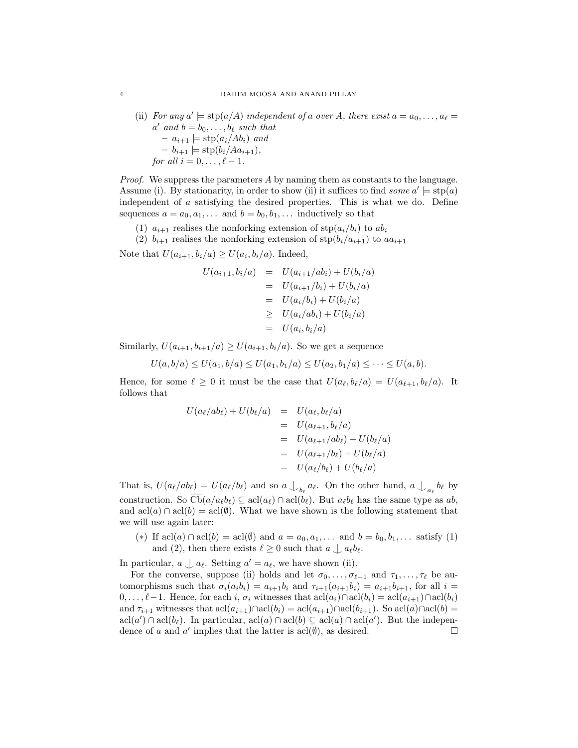(ii) For any  $a' \models \text{stp}(a/A)$  independent of a over A, there exist  $a = a_0, \ldots, a_\ell = a_\ell$  $a'$  and  $b = b_0, \ldots, b_\ell$  such that  $- a_{i+1} \models \text{stp}(a_i/Ab_i)$  and  $- b_{i+1} \models \text{stp}(b_i/Aa_{i+1}),$ for all  $i = 0, \ldots, \ell - 1$ .

Proof. We suppress the parameters A by naming them as constants to the language. Assume (i). By stationarity, in order to show (ii) it suffices to find *some*  $a' \models \text{stp}(a)$ independent of a satisfying the desired properties. This is what we do. Define sequences  $a = a_0, a_1, \ldots$  and  $b = b_0, b_1, \ldots$  inductively so that

(1)  $a_{i+1}$  realises the nonforking extension of  $\text{stp}(a_i/b_i)$  to  $ab_i$ 

(2)  $b_{i+1}$  realises the nonforking extension of  $\text{stp}(b_i/a_{i+1})$  to  $aa_{i+1}$ Note that  $U(a_{i+1}, b_i/a) \ge U(a_i, b_i/a)$ . Indeed,

$$
U(a_{i+1}, b_i/a) = U(a_{i+1}/ab_i) + U(b_i/a)
$$
  
=  $U(a_{i+1}/b_i) + U(b_i/a)$   
=  $U(a_i/b_i) + U(b_i/a)$   
 $\geq U(a_i/ab_i) + U(b_i/a)$   
=  $U(a_i, b_i/a)$ 

Similarly,  $U(a_{i+1}, b_{i+1}/a) \geq U(a_{i+1}, b_i/a)$ . So we get a sequence

$$
U(a, b/a) \le U(a_1, b/a) \le U(a_1, b_1/a) \le U(a_2, b_1/a) \le \cdots \le U(a, b).
$$

Hence, for some  $\ell \geq 0$  it must be the case that  $U(a_{\ell}, b_{\ell}/a) = U(a_{\ell+1}, b_{\ell}/a)$ . It follows that

$$
U(a_{\ell}/ab_{\ell}) + U(b_{\ell}/a) = U(a_{\ell}, b_{\ell}/a)
$$
  
=  $U(a_{\ell+1}, b_{\ell}/a)$   
=  $U(a_{\ell+1}/ab_{\ell}) + U(b_{\ell}/a)$   
=  $U(a_{\ell+1}/b_{\ell}) + U(b_{\ell}/a)$   
=  $U(a_{\ell}/b_{\ell}) + U(b_{\ell}/a)$ 

That is,  $U(a_{\ell}/ab_{\ell}) = U(a_{\ell}/b_{\ell})$  and so  $a \bigcup_{b_{\ell}} a_{\ell}$ . On the other hand,  $a \bigcup_{a_{\ell}} b_{\ell}$  by construction. So  $\overline{\mathcal{CD}}(a/a_{\ell}b_{\ell}) \subseteq \text{acl}(a_{\ell}) \cap \text{acl}(b_{\ell})$ . But  $a_{\ell}b_{\ell}$  has the same type as ab, and  $\text{acl}(a) \cap \text{acl}(b) = \text{acl}(\emptyset)$ . What we have shown is the following statement that we will use again later:

(\*) If  $\text{acl}(a) \cap \text{acl}(b) = \text{acl}(\emptyset)$  and  $a = a_0, a_1, \ldots$  and  $b = b_0, b_1, \ldots$  satisfy (1) and (2), then there exists  $\ell \geq 0$  such that  $a \nvert a_{\ell}b_{\ell}$ .

In particular,  $a \nightharpoonup a_{\ell}$ . Setting  $a' = a_{\ell}$ , we have shown (ii).

For the converse, suppose (ii) holds and let  $\sigma_0, \ldots, \sigma_{\ell-1}$  and  $\tau_1, \ldots, \tau_{\ell}$  be automorphisms such that  $\sigma_i(a_ib_i) = a_{i+1}b_i$  and  $\tau_{i+1}(a_{i+1}b_i) = a_{i+1}b_{i+1}$ , for all  $i =$  $0, \ldots, \ell-1$ . Hence, for each i,  $\sigma_i$  witnesses that  $\text{acl}(a_i) \cap \text{acl}(b_i) = \text{acl}(a_{i+1}) \cap \text{acl}(b_i)$ and  $\tau_{i+1}$  witnesses that  $\text{acl}(a_{i+1})\cap \text{acl}(b_i) = \text{acl}(a_{i+1})\cap \text{acl}(b_{i+1})$ . So  $\text{acl}(a)\cap \text{acl}(b) =$  $\text{acl}(a') \cap \text{acl}(b_{\ell})$ . In particular,  $\text{acl}(a) \cap \text{acl}(b) \subseteq \text{acl}(a) \cap \text{acl}(a')$ . But the independence of a and a' implies that the latter is  $\text{acl}(\emptyset)$ , as desired.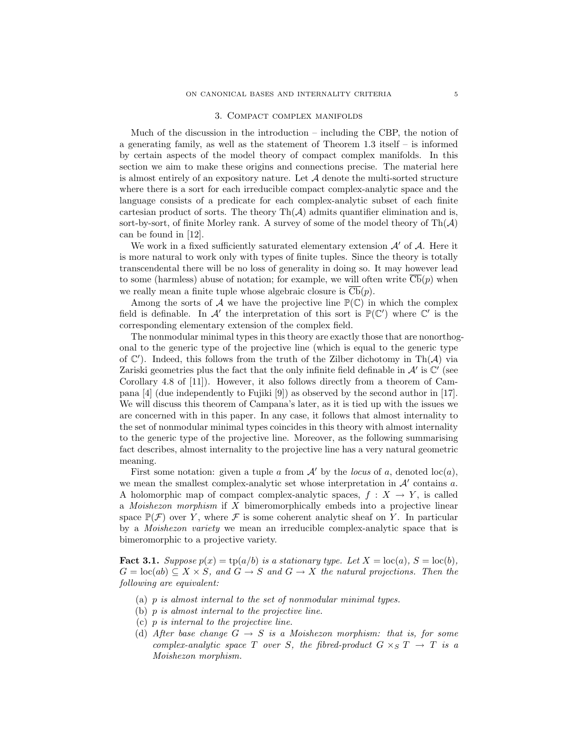### 3. Compact complex manifolds

Much of the discussion in the introduction – including the CBP, the notion of a generating family, as well as the statement of Theorem 1.3 itself – is informed by certain aspects of the model theory of compact complex manifolds. In this section we aim to make these origins and connections precise. The material here is almost entirely of an expository nature. Let  $A$  denote the multi-sorted structure where there is a sort for each irreducible compact complex-analytic space and the language consists of a predicate for each complex-analytic subset of each finite cartesian product of sorts. The theory  $\text{Th}(\mathcal{A})$  admits quantifier elimination and is, sort-by-sort, of finite Morley rank. A survey of some of the model theory of  $\text{Th}(\mathcal{A})$ can be found in [12].

We work in a fixed sufficiently saturated elementary extension  $\mathcal{A}'$  of  $\mathcal{A}$ . Here it is more natural to work only with types of finite tuples. Since the theory is totally transcendental there will be no loss of generality in doing so. It may however lead to some (harmless) abuse of notation; for example, we will often write  $\overline{Cb}(p)$  when we really mean a finite tuple whose algebraic closure is  $\overline{\mathrm{Cb}}(p)$ .

Among the sorts of A we have the projective line  $\mathbb{P}(\mathbb{C})$  in which the complex field is definable. In  $\mathcal{A}'$  the interpretation of this sort is  $\mathbb{P}(\mathbb{C}')$  where  $\mathbb{C}'$  is the corresponding elementary extension of the complex field.

The nonmodular minimal types in this theory are exactly those that are nonorthogonal to the generic type of the projective line (which is equal to the generic type of  $\mathbb{C}'$ ). Indeed, this follows from the truth of the Zilber dichotomy in Th $(\mathcal{A})$  via Zariski geometries plus the fact that the only infinite field definable in  $\mathcal{A}'$  is  $\mathbb{C}'$  (see Corollary 4.8 of [11]). However, it also follows directly from a theorem of Campana [4] (due independently to Fujiki [9]) as observed by the second author in [17]. We will discuss this theorem of Campana's later, as it is tied up with the issues we are concerned with in this paper. In any case, it follows that almost internality to the set of nonmodular minimal types coincides in this theory with almost internality to the generic type of the projective line. Moreover, as the following summarising fact describes, almost internality to the projective line has a very natural geometric meaning.

First some notation: given a tuple a from  $A'$  by the locus of a, denoted loc(a), we mean the smallest complex-analytic set whose interpretation in  $A'$  contains  $a$ . A holomorphic map of compact complex-analytic spaces,  $f : X \to Y$ , is called a Moishezon morphism if X bimeromorphically embeds into a projective linear space  $\mathbb{P}(\mathcal{F})$  over Y, where  $\mathcal F$  is some coherent analytic sheaf on Y. In particular by a Moishezon variety we mean an irreducible complex-analytic space that is bimeromorphic to a projective variety.

**Fact 3.1.** Suppose  $p(x) = \text{tp}(a/b)$  is a stationary type. Let  $X = \text{loc}(a)$ ,  $S = \text{loc}(b)$ ,  $G = \text{loc}(ab) \subseteq X \times S$ , and  $G \rightarrow S$  and  $G \rightarrow X$  the natural projections. Then the following are equivalent:

- (a) p is almost internal to the set of nonmodular minimal types.
- (b) p is almost internal to the projective line.
- (c) p is internal to the projective line.
- (d) After base change  $G \rightarrow S$  is a Moishezon morphism: that is, for some complex-analytic space T over S, the fibred-product  $G \times_S T \to T$  is a Moishezon morphism.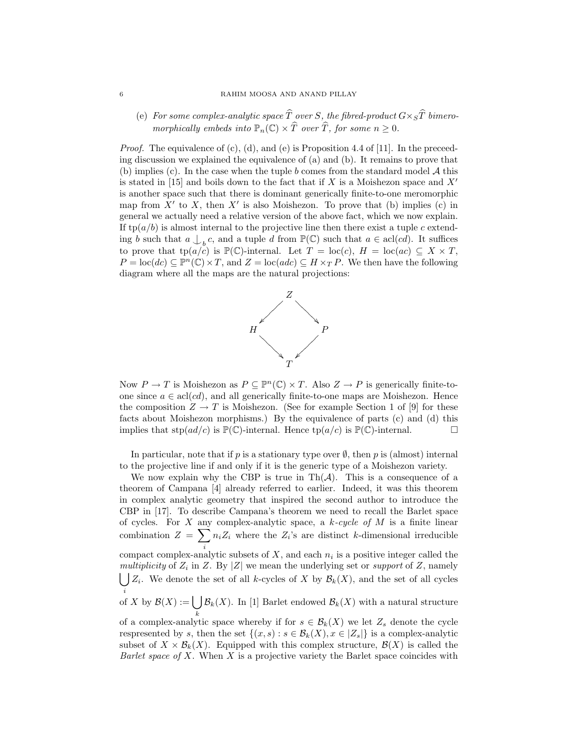(e) For some complex-analytic space  $\widehat{T}$  over S, the fibred-product  $G\times_S\widehat{T}$  bimeromorphically embeds into  $\mathbb{P}_n(\mathbb{C}) \times \widehat{T}$  over  $\widehat{T}$ , for some  $n \geq 0$ .

*Proof.* The equivalence of (c), (d), and (e) is Proposition 4.4 of [11]. In the preceeding discussion we explained the equivalence of (a) and (b). It remains to prove that (b) implies (c). In the case when the tuple b comes from the standard model  $A$  this is stated in [15] and boils down to the fact that if X is a Moishezon space and  $X'$ is another space such that there is dominant generically finite-to-one meromorphic map from  $X'$  to X, then  $X'$  is also Moishezon. To prove that (b) implies (c) in general we actually need a relative version of the above fact, which we now explain. If  $tp(a/b)$  is almost internal to the projective line then there exist a tuple c extending b such that  $a \bigcup_{b} c$ , and a tuple d from  $\mathbb{P}(\mathbb{C})$  such that  $a \in \text{acl}(cd)$ . It suffices to prove that  $tp(a/\check{c})$  is  $\mathbb{P}(\mathbb{C})$ -internal. Let  $T = \text{loc}(c)$ ,  $H = \text{loc}(ac) \subseteq X \times T$ ,  $P = \text{loc}(dc) \subseteq \mathbb{P}^n(\mathbb{C}) \times T$ , and  $Z = \text{loc}(adc) \subseteq H \times_T P$ . We then have the following diagram where all the maps are the natural projections:



Now  $P \to T$  is Moishezon as  $P \subseteq \mathbb{P}^n(\mathbb{C}) \times T$ . Also  $Z \to P$  is generically finite-toone since  $a \in \text{acl}(cd)$ , and all generically finite-to-one maps are Moishezon. Hence the composition  $Z \to T$  is Moishezon. (See for example Section 1 of [9] for these facts about Moishezon morphisms.) By the equivalence of parts (c) and (d) this implies that  $\text{stp}(ad/c)$  is  $\mathbb{P}(\mathbb{C})$ -internal. Hence  $\text{tp}(a/c)$  is  $\mathbb{P}(\mathbb{C})$ -internal.

In particular, note that if p is a stationary type over  $\emptyset$ , then p is (almost) internal to the projective line if and only if it is the generic type of a Moishezon variety.

We now explain why the CBP is true in  $\text{Th}(\mathcal{A})$ . This is a consequence of a theorem of Campana [4] already referred to earlier. Indeed, it was this theorem in complex analytic geometry that inspired the second author to introduce the CBP in [17]. To describe Campana's theorem we need to recall the Barlet space of cycles. For X any complex-analytic space, a  $k$ -cycle of M is a finite linear combination  $Z = \sum$ i  $n_i Z_i$  where the  $Z_i$ 's are distinct k-dimensional irreducible compact complex-analytic subsets of  $X$ , and each  $n_i$  is a positive integer called the multiplicity of  $Z_i$  in Z. By |Z| we mean the underlying set or support of Z, namely  $\int Z_i$ . We denote the set of all k-cycles of X by  $\mathcal{B}_k(X)$ , and the set of all cycles  $\int_{0}^{i}$  of X by  $\mathcal{B}(X) := \begin{bmatrix} \end{bmatrix}$ k  $\mathcal{B}_k(X)$ . In [1] Barlet endowed  $\mathcal{B}_k(X)$  with a natural structure of a complex-analytic space whereby if for  $s \in \mathcal{B}_k(X)$  we let  $Z_s$  denote the cycle

respresented by s, then the set  $\{(x, s) : s \in \mathcal{B}_k(X), x \in |Z_s|\}$  is a complex-analytic subset of  $X \times \mathcal{B}_k(X)$ . Equipped with this complex structure,  $\mathcal{B}(X)$  is called the Barlet space of X. When X is a projective variety the Barlet space coincides with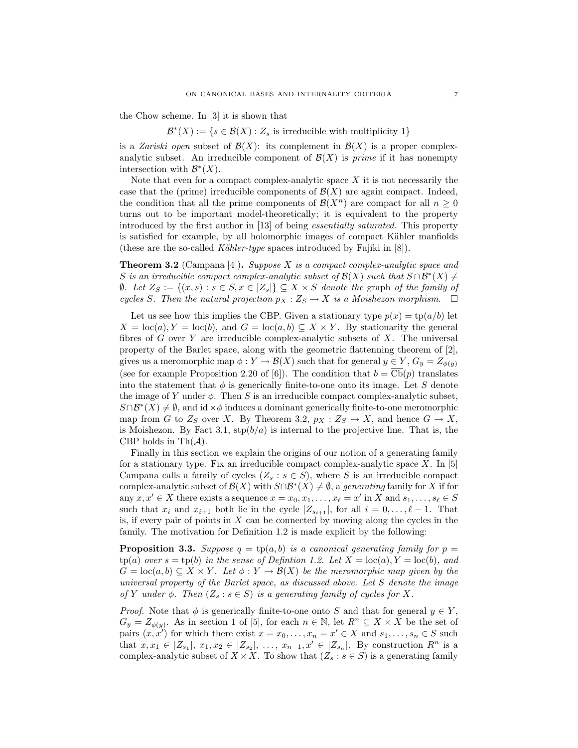the Chow scheme. In [3] it is shown that

 $\mathcal{B}^*(X) := \{ s \in \mathcal{B}(X) : Z_s \text{ is irreducible with multiplicity } 1 \}$ 

is a Zariski open subset of  $\mathcal{B}(X)$ : its complement in  $\mathcal{B}(X)$  is a proper complexanalytic subset. An irreducible component of  $\mathcal{B}(X)$  is *prime* if it has nonempty intersection with  $\mathcal{B}^*(X)$ .

Note that even for a compact complex-analytic space  $X$  it is not necessarily the case that the (prime) irreducible components of  $\mathcal{B}(X)$  are again compact. Indeed, the condition that all the prime components of  $\mathcal{B}(X^n)$  are compact for all  $n \geq 0$ turns out to be important model-theoretically; it is equivalent to the property introduced by the first author in [13] of being essentially saturated. This property is satisfied for example, by all holomorphic images of compact Kähler manfiolds (these are the so-called Kähler-type spaces introduced by Fujiki in  $[8]$ ).

**Theorem 3.2** (Campana [4]). Suppose  $X$  is a compact complex-analytic space and S is an irreducible compact complex-analytic subset of  $\mathcal{B}(X)$  such that  $S \cap \mathcal{B}^*(X) \neq$  $θ$ . Let  $Z_S := \{(x, s) : s \in S, x \in |Z_s| \} ⊆ X \times S$  denote the graph of the family of cycles S. Then the natural projection  $p_X : Z_S \to X$  is a Moishezon morphism.  $\Box$ 

Let us see how this implies the CBP. Given a stationary type  $p(x) = \text{tp}(a/b)$  let  $X = \text{loc}(a), Y = \text{loc}(b), \text{ and } G = \text{loc}(a, b) \subseteq X \times Y.$  By stationarity the general fibres of  $G$  over  $Y$  are irreducible complex-analytic subsets of  $X$ . The universal property of the Barlet space, along with the geometric flattenning theorem of [2], gives us a meromorphic map  $\phi: Y \to \mathcal{B}(X)$  such that for general  $y \in Y$ ,  $G_y = Z_{\phi(y)}$ (see for example Proposition 2.20 of [6]). The condition that  $b = \overline{\mathbf{Cb}}(p)$  translates into the statement that  $\phi$  is generically finite-to-one onto its image. Let S denote the image of Y under  $\phi$ . Then S is an irreducible compact complex-analytic subset,  $S \cap \mathcal{B}^*(X) \neq \emptyset$ , and id  $\times \phi$  induces a dominant generically finite-to-one meromorphic map from G to  $Z_S$  over X. By Theorem 3.2,  $p_X : Z_S \to X$ , and hence  $G \to X$ , is Moishezon. By Fact 3.1,  $\text{stp}(b/a)$  is internal to the projective line. That is, the CBP holds in Th $(\mathcal{A})$ .

Finally in this section we explain the origins of our notion of a generating family for a stationary type. Fix an irreducible compact complex-analytic space  $X$ . In [5] Campana calls a family of cycles  $(Z_s : s \in S)$ , where S is an irreducible compact complex-analytic subset of  $\mathcal{B}(X)$  with  $S \cap \mathcal{B}^*(X) \neq \emptyset$ , a *generating* family for X if for any  $x, x' \in X$  there exists a sequence  $x = x_0, x_1, \ldots, x_\ell = x'$  in X and  $s_1, \ldots, s_\ell \in S$ such that  $x_i$  and  $x_{i+1}$  both lie in the cycle  $|Z_{s_{i+1}}|$ , for all  $i = 0, \ldots, \ell - 1$ . That is, if every pair of points in  $X$  can be connected by moving along the cycles in the family. The motivation for Definition 1.2 is made explicit by the following:

**Proposition 3.3.** Suppose  $q = \text{tp}(a, b)$  is a canonical generating family for  $p =$  $tp(a)$  over  $s = tp(b)$  in the sense of Definition 1.2. Let  $X = \text{loc}(a), Y = \text{loc}(b),$  and  $G = \text{loc}(a, b) \subseteq X \times Y$ . Let  $\phi : Y \to \mathcal{B}(X)$  be the meromorphic map given by the universal property of the Barlet space, as discussed above. Let S denote the image of Y under  $\phi$ . Then  $(Z_s : s \in S)$  is a generating family of cycles for X.

*Proof.* Note that  $\phi$  is generically finite-to-one onto S and that for general  $y \in Y$ ,  $G_y = Z_{\phi(y)}$ . As in section 1 of [5], for each  $n \in \mathbb{N}$ , let  $R^n \subseteq X \times X$  be the set of pairs  $(x, x')$  for which there exist  $x = x_0, \ldots, x_n = x' \in X$  and  $s_1, \ldots, s_n \in S$  such that  $x, x_1 \in |Z_{s_1}|, x_1, x_2 \in |Z_{s_2}|, \ldots, x_{n-1}, x' \in |Z_{s_n}|$ . By construction  $R^n$  is a complex-analytic subset of  $X \times X$ . To show that  $(Z_s : s \in S)$  is a generating family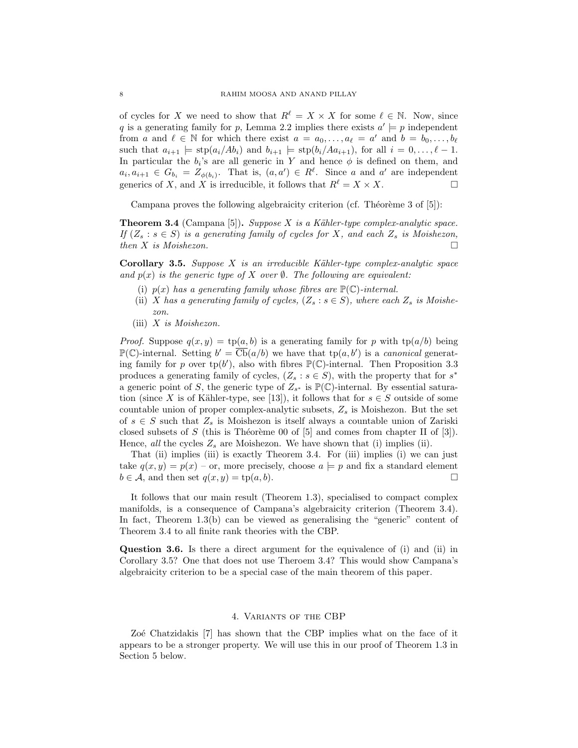of cycles for X we need to show that  $R^{\ell} = X \times X$  for some  $\ell \in \mathbb{N}$ . Now, since q is a generating family for p, Lemma 2.2 implies there exists  $a' \models p$  independent from a and  $\ell \in \mathbb{N}$  for which there exist  $a = a_0, \ldots, a_{\ell} = a'$  and  $b = b_0, \ldots, b_{\ell}$ such that  $a_{i+1} \models \text{stp}(a_i/Ab_i)$  and  $b_{i+1} \models \text{stp}(b_i/Ad_{i+1}),$  for all  $i = 0, \ldots, \ell - 1$ . In particular the  $b_i$ 's are all generic in Y and hence  $\phi$  is defined on them, and  $a_i, a_{i+1} \in G_{b_i} = Z_{\phi(b_i)}$ . That is,  $(a, a') \in R^{\ell}$ . Since a and a' are independent generics of X, and X is irreducible, it follows that  $R^{\ell} = X \times X$ .

Campana proves the following algebraicity criterion (cf. Théorème 3 of  $[5]$ ):

**Theorem 3.4** (Campana [5]). Suppose X is a Kähler-type complex-analytic space. If  $(Z_s : s \in S)$  is a generating family of cycles for X, and each  $Z_s$  is Moishezon, then X is Moishezon.  $\square$ 

**Corollary 3.5.** Suppose  $X$  is an irreducible Kähler-type complex-analytic space and  $p(x)$  is the generic type of X over  $\emptyset$ . The following are equivalent:

- (i)  $p(x)$  has a generating family whose fibres are  $\mathbb{P}(\mathbb{C})$ -internal.
- (ii) X has a generating family of cycles,  $(Z_s : s \in S)$ , where each  $Z_s$  is Moishezon.
- (iii)  $X$  is Moishezon.

*Proof.* Suppose  $q(x, y) = \text{tp}(a, b)$  is a generating family for p with  $\text{tp}(a/b)$  being  $\mathbb{P}(\mathbb{C})$ -internal. Setting  $b' = \overline{\text{Cb}}(a/b)$  we have that  $\text{tp}(a, b')$  is a *canonical* generating family for p over  $tp(b')$ , also with fibres  $\mathbb{P}(\mathbb{C})$ -internal. Then Proposition 3.3 produces a generating family of cycles,  $(Z_s : s \in S)$ , with the property that for  $s^*$ a generic point of S, the generic type of  $Z_{s^*}$  is  $\mathbb{P}(\mathbb{C})$ -internal. By essential saturation (since X is of Kähler-type, see [13]), it follows that for  $s \in S$  outside of some countable union of proper complex-analytic subsets,  $Z_s$  is Moishezon. But the set of  $s \in S$  such that  $Z_s$  is Moishezon is itself always a countable union of Zariski closed subsets of S (this is Théorème 00 of  $[5]$  and comes from chapter II of  $[3]$ ). Hence, all the cycles  $Z_s$  are Moishezon. We have shown that (i) implies (ii).

That (ii) implies (iii) is exactly Theorem 3.4. For (iii) implies (i) we can just take  $q(x, y) = p(x)$  – or, more precisely, choose  $a \models p$  and fix a standard element  $b \in \mathcal{A}$ , and then set  $q(x, y) = \text{tp}(a, b)$ .

It follows that our main result (Theorem 1.3), specialised to compact complex manifolds, is a consequence of Campana's algebraicity criterion (Theorem 3.4). In fact, Theorem 1.3(b) can be viewed as generalising the "generic" content of Theorem 3.4 to all finite rank theories with the CBP.

Question 3.6. Is there a direct argument for the equivalence of (i) and (ii) in Corollary 3.5? One that does not use Theroem 3.4? This would show Campana's algebraicity criterion to be a special case of the main theorem of this paper.

### 4. Variants of the CBP

Zoe Chatzidakis [7] has shown that the CBP implies what on the face of it appears to be a stronger property. We will use this in our proof of Theorem 1.3 in Section 5 below.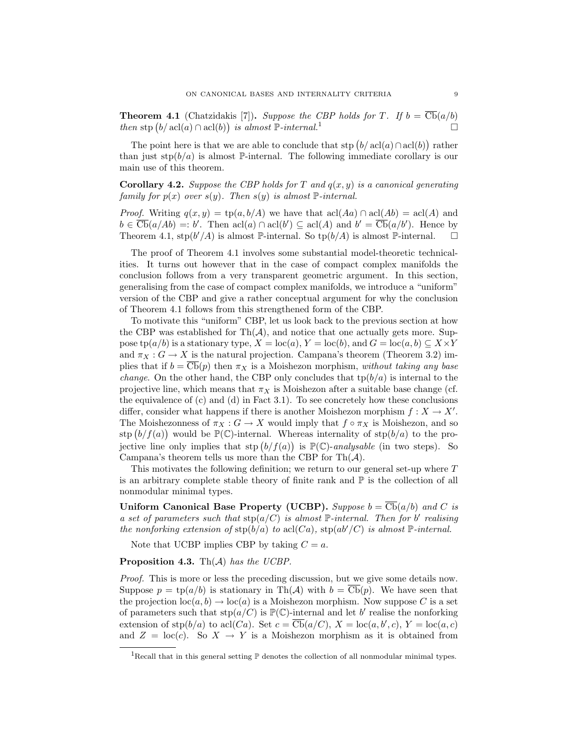**Theorem 4.1** (Chatzidakis [7]). Suppose the CBP holds for T. If  $b = \overline{\text{Cb}}(a/b)$ then stp  $(b/\operatorname{acl}(a) \cap \operatorname{acl}(b))$  is almost  $\mathbb{P}\text{-internal}$ .<sup>1</sup>

The point here is that we are able to conclude that stp  $(b/ \text{acl}(a) \cap \text{acl}(b))$  rather than just  $\text{stp}(b/a)$  is almost P-internal. The following immediate corollary is our main use of this theorem.

# **Corollary 4.2.** Suppose the CBP holds for T and  $q(x, y)$  is a canonical generating family for  $p(x)$  over  $s(y)$ . Then  $s(y)$  is almost  $\mathbb{P}\text{-internal}$ .

*Proof.* Writing  $q(x, y) = \text{tp}(a, b/A)$  we have that  $\text{acl}(Aa) \cap \text{acl}(Ab) = \text{acl}(A)$  and  $b \in \overline{\mathcal{CD}}(a/Ab) =: b'.$  Then  $\text{acl}(a) \cap \text{acl}(b') \subseteq \text{acl}(A)$  and  $b' = \overline{\mathcal{CD}}(a/b').$  Hence by Theorem 4.1,  $\text{stp}(b'/A)$  is almost  $\mathbb{P}\text{-internal}$ . So  $\text{tp}(b/A)$  is almost  $\mathbb{P}\text{-internal}$ .  $\Box$ 

The proof of Theorem 4.1 involves some substantial model-theoretic technicalities. It turns out however that in the case of compact complex manifolds the conclusion follows from a very transparent geometric argument. In this section, generalising from the case of compact complex manifolds, we introduce a "uniform" version of the CBP and give a rather conceptual argument for why the conclusion of Theorem 4.1 follows from this strengthened form of the CBP.

To motivate this "uniform" CBP, let us look back to the previous section at how the CBP was established for  $\text{Th}(\mathcal{A})$ , and notice that one actually gets more. Suppose tp(a/b) is a stationary type,  $X = \text{loc}(a)$ ,  $Y = \text{loc}(b)$ , and  $G = \text{loc}(a, b) \subseteq X \times Y$ and  $\pi_X : G \to X$  is the natural projection. Campana's theorem (Theorem 3.2) implies that if  $b = \overline{\text{Cb}}(p)$  then  $\pi_X$  is a Moishezon morphism, without taking any base *change*. On the other hand, the CBP only concludes that  $tp(b/a)$  is internal to the projective line, which means that  $\pi_X$  is Moishezon after a suitable base change (cf. the equivalence of (c) and (d) in Fact 3.1). To see concretely how these conclusions differ, consider what happens if there is another Moishezon morphism  $f: X \to X'$ . The Moishezonness of  $\pi_X : G \to X$  would imply that  $f \circ \pi_X$  is Moishezon, and so stp  $(b/f(a))$  would be  $\mathbb{P}(\mathbb{C})$ -internal. Whereas internality of stp $(b/a)$  to the projective line only implies that  $\text{stp}(b/f(a))$  is  $\mathbb{P}(\mathbb{C})$ -analysable (in two steps). So Campana's theorem tells us more than the CBP for Th $(A)$ .

This motivates the following definition; we return to our general set-up where T is an arbitrary complete stable theory of finite rank and  $\mathbb P$  is the collection of all nonmodular minimal types.

Uniform Canonical Base Property (UCBP). Suppose  $b = \text{Cb}(a/b)$  and C is a set of parameters such that  $\text{stp}(a/C)$  is almost  $\mathbb{P}\text{-internal}$ . Then for b' realising the nonforking extension of  $\text{stp}(b/a)$  to  $\text{acl}(Ca)$ ,  $\text{stp}(ab'/C)$  is almost  $\mathbb P\text{-internal}$ .

Note that UCBP implies CBP by taking  $C = a$ .

**Proposition 4.3.** Th $(A)$  has the UCBP.

Proof. This is more or less the preceding discussion, but we give some details now. Suppose  $p = \text{tp}(a/b)$  is stationary in Th(A) with  $b = \text{Cb}(p)$ . We have seen that the projection  $\text{loc}(a, b) \to \text{loc}(a)$  is a Moishezon morphism. Now suppose C is a set of parameters such that  $\text{stp}(a/C)$  is  $\mathbb{P}(\mathbb{C})$ -internal and let b' realise the nonforking extension of  $\text{stp}(b/a)$  to acl(*Ca*). Set  $c = \overline{\text{Cb}}(a/C)$ ,  $X = \text{loc}(a, b', c)$ ,  $Y = \text{loc}(a, c)$ and  $Z = \text{loc}(c)$ . So  $X \to Y$  is a Moishezon morphism as it is obtained from

<sup>&</sup>lt;sup>1</sup>Recall that in this general setting  $\mathbb P$  denotes the collection of all nonmodular minimal types.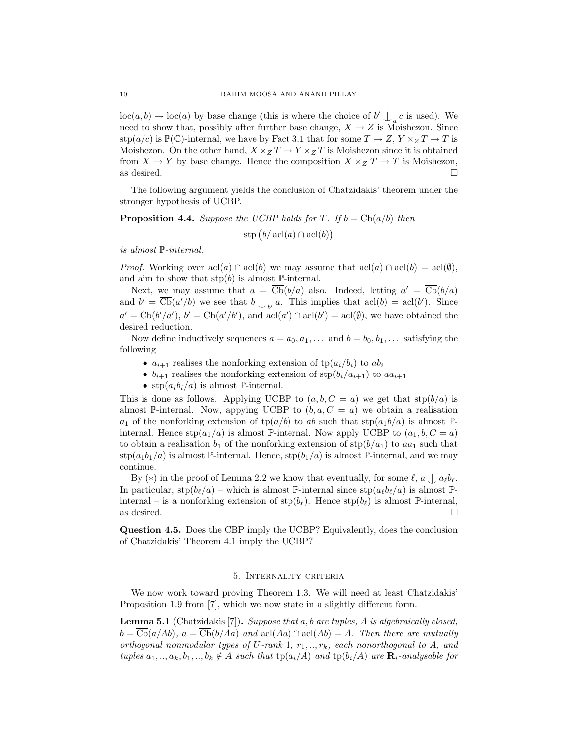$\text{loc}(a, b) \to \text{loc}(a)$  by base change (this is where the choice of  $b' \bigcup_a c$  is used). We need to show that, possibly after further base change,  $X \to Z$  is Moishezon. Since stp(a/c) is  $\mathbb{P}(\mathbb{C})$ -internal, we have by Fact 3.1 that for some  $T \to Z, Y \times_Z T \to T$  is Moishezon. On the other hand,  $X \times_Z T \to Y \times_Z T$  is Moishezon since it is obtained from  $X \to Y$  by base change. Hence the composition  $X \times_Z T \to T$  is Moishezon, as desired.  $\Box$ 

The following argument yields the conclusion of Chatzidakis' theorem under the stronger hypothesis of UCBP.

# **Proposition 4.4.** Suppose the UCBP holds for T. If  $b = \overline{\text{Cb}}(a/b)$  then  $\text{stp}\left(b/\ \text{acl}(a)\cap \text{acl}(b)\right)$

is almost P-internal.

*Proof.* Working over  $\text{acl}(a) \cap \text{acl}(b)$  we may assume that  $\text{acl}(a) \cap \text{acl}(b) = \text{acl}(\emptyset)$ , and aim to show that  $\text{stp}(b)$  is almost  $\mathbb{P}\text{-internal}$ .

Next, we may assume that  $a = \overline{\text{Cb}}(b/a)$  also. Indeed, letting  $a' = \overline{\text{Cb}}(b/a)$ and  $b' = \overline{\text{Cb}}(a'/b)$  we see that  $b \bigcup_{b'} a$ . This implies that  $\text{acl}(b) = \text{acl}(b')$ . Since  $a' = \overline{\text{Cb}}(b'/a'), b' = \overline{\text{Cb}}(a'/b'), \text{ and } \text{acl}(a') \cap \text{acl}(b') = \text{acl}(\emptyset), \text{ we have obtained the}$ desired reduction.

Now define inductively sequences  $a = a_0, a_1, \ldots$  and  $b = b_0, b_1, \ldots$  satisfying the following

- $a_{i+1}$  realises the nonforking extension of  $tp(a_i/b_i)$  to  $ab_i$
- $b_{i+1}$  realises the nonforking extension of  $\text{stp}(b_i/a_{i+1})$  to  $aa_{i+1}$
- $\text{stp}(a_i b_i/a)$  is almost P-internal.

This is done as follows. Applying UCBP to  $(a, b, C = a)$  we get that  $\text{stp}(b/a)$  is almost P-internal. Now, appying UCBP to  $(b, a, C = a)$  we obtain a realisation  $a_1$  of the nonforking extension of  $\text{tp}(a/b)$  to ab such that  $\text{stp}(a_1b/a)$  is almost  $\mathbb{P}$ internal. Hence  $\text{stp}(a_1/a)$  is almost P-internal. Now apply UCBP to  $(a_1, b, C = a)$ to obtain a realisation  $b_1$  of the nonforking extension of  $\text{stp}(b/a_1)$  to  $aa_1$  such that  $\text{stp}(a_1b_1/a)$  is almost P-internal. Hence,  $\text{stp}(b_1/a)$  is almost P-internal, and we may continue.

By  $(*)$  in the proof of Lemma 2.2 we know that eventually, for some  $\ell$ ,  $a \nvert a_{\ell}b_{\ell}$ . In particular,  $\text{stp}(b_\ell/a)$  – which is almost P-internal since  $\text{stp}(a_\ell b_\ell/a)$  is almost Pinternal – is a nonforking extension of  $\text{stp}(b_\ell)$ . Hence  $\text{stp}(b_\ell)$  is almost P-internal, as desired.  $\Box$ 

Question 4.5. Does the CBP imply the UCBP? Equivalently, does the conclusion of Chatzidakis' Theorem 4.1 imply the UCBP?

### 5. Internality criteria

We now work toward proving Theorem 1.3. We will need at least Chatzidakis' Proposition 1.9 from [7], which we now state in a slightly different form.

**Lemma 5.1** (Chatzidakis [7]). Suppose that a, b are tuples, A is algebraically closed,  $b = \overline{\text{Cb}}(a/Ab), a = \overline{\text{Cb}}(b/Aa)$  and  $\text{acl}(Aa) \cap \text{acl}(Ab) = A$ . Then there are mutually orthogonal nonmodular types of U-rank 1,  $r_1, ..., r_k$ , each nonorthogonal to A, and tuples  $a_1, ..., a_k, b_1, ..., b_k \notin A$  such that  $tp(a_i/A)$  and  $tp(b_i/A)$  are  $\mathbf{R}_i$ -analysable for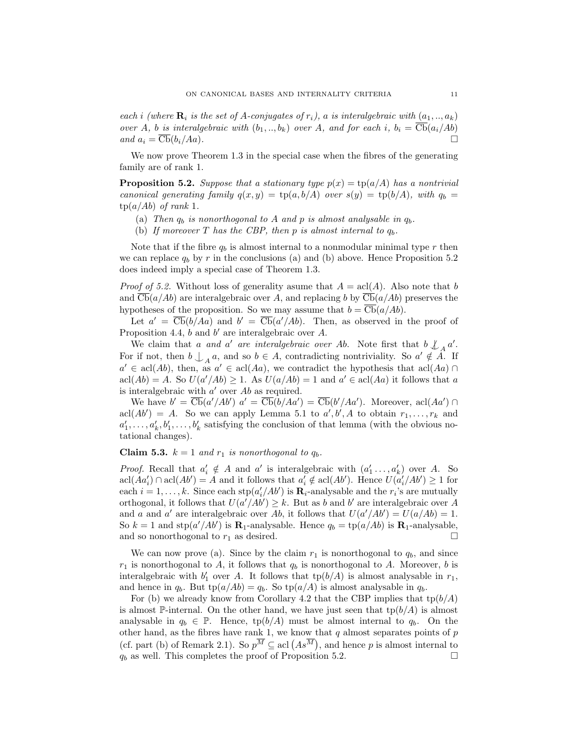each i (where  $\mathbf{R}_i$  is the set of A-conjugates of  $r_i$ ), a is interalgebraic with  $(a_1, ..., a_k)$ over A, b is interalgebraic with  $(b_1, ..., b_k)$  over A, and for each i,  $b_i = \text{Cb}(a_i/Ab)$ and  $a_i = \overline{\text{Cb}}(b_i/Aa)$ .

We now prove Theorem 1.3 in the special case when the fibres of the generating family are of rank 1.

**Proposition 5.2.** Suppose that a stationary type  $p(x) = \text{tp}(a/A)$  has a nontrivial canonical generating family  $q(x, y) = \text{tp}(a, b/A)$  over  $s(y) = \text{tp}(b/A)$ , with  $q_b =$  $tp(a/Ab)$  of rank 1.

- (a) Then  $q_b$  is nonorthogonal to A and p is almost analysable in  $q_b$ .
- (b) If moreover T has the CBP, then p is almost internal to  $q_b$ .

Note that if the fibre  $q_b$  is almost internal to a nonmodular minimal type r then we can replace  $q_b$  by r in the conclusions (a) and (b) above. Hence Proposition 5.2 does indeed imply a special case of Theorem 1.3.

*Proof of 5.2.* Without loss of generality asume that  $A = \text{acl}(A)$ . Also note that b and  $\overline{\text{Cb}}(a/Ab)$  are interalgebraic over A, and replacing b by  $\overline{\text{Cb}}(a/Ab)$  preserves the hypotheses of the proposition. So we may assume that  $b = \text{Cb}(a/Ab)$ .

Let  $a' = \overline{\mathbf{Cb}}(b/Aa)$  and  $b' = \overline{\mathbf{Cb}}(a'/Ab)$ . Then, as observed in the proof of Proposition 4.4,  $b$  and  $b'$  are interalgebraic over  $A$ .

We claim that a and a' are interalgebraic over Ab. Note first that  $b \nmid A$  a'. For if not, then  $b \nvert_A a$ , and so  $b \in A$ , contradicting nontriviality. So  $a' \notin \overrightarrow{A}$ . If  $a' \in \text{acl}(Ab)$ , then, as  $a' \in \text{acl}(Aa)$ , we contradict the hypothesis that  $\text{acl}(Aa) \cap$  $\text{acl}(Ab) = A$ . So  $U(a'/Ab) \geq 1$ . As  $U(a/Ab) = 1$  and  $a' \in \text{acl}(Aa)$  it follows that a is interalgebraic with  $a'$  over  $Ab$  as required.

We have  $b' = \overline{\mathbf{Cb}}(a'/Ab')$   $a' = \overline{\mathbf{Cb}}(b/Aa') = \overline{\mathbf{Cb}}(b'/Aa')$ . Moreover,  $\text{acl}(Aa') \cap$  $\text{acl}(Ab') = A$ . So we can apply Lemma 5.1 to  $a', b', A$  to obtain  $r_1, \ldots, r_k$  and  $a'_1, \ldots, a'_k, b'_1, \ldots, b'_k$  satisfying the conclusion of that lemma (with the obvious notational changes).

## **Claim 5.3.**  $k = 1$  and  $r_1$  is nonorthogonal to  $q_b$ .

*Proof.* Recall that  $a'_i \notin A$  and  $a'$  is interalgebraic with  $(a'_1, \ldots, a'_k)$  over A. So  $\text{acl}(Aa'_i) \cap \text{acl}(Ab') = A$  and it follows that  $a'_i \notin \text{acl}(Ab')$ . Hence  $U(a'_i/Ab') \geq 1$  for each  $i = 1, ..., k$ . Since each  $\text{stp}(a'_i/Ab')$  is  $\mathbf{R}_i$ -analysable and the  $r_i$ 's are mutually orthogonal, it follows that  $U(a'/Ab') \geq k$ . But as b and b' are interalgebraic over A and a and a' are interalgebraic over Ab, it follows that  $U(a'/Ab') = U(a/Ab) = 1$ . So  $k = 1$  and  $\text{stp}(a'/Ab')$  is  $\mathbf{R}_1$ -analysable. Hence  $q_b = \text{tp}(a/Ab)$  is  $\mathbf{R}_1$ -analysable, and so nonorthogonal to  $r_1$  as desired.  $\square$ 

We can now prove (a). Since by the claim  $r_1$  is nonorthogonal to  $q_b$ , and since  $r_1$  is nonorthogonal to A, it follows that  $q_b$  is nonorthogonal to A. Moreover, b is interalgebraic with  $b'_1$  over A. It follows that  $tp(b/A)$  is almost analysable in  $r_1$ , and hence in  $q_b$ . But  $tp(a/Ab) = q_b$ . So  $tp(a/A)$  is almost analysable in  $q_b$ .

For (b) we already know from Corollary 4.2 that the CBP implies that  $tp(b/A)$ is almost P-internal. On the other hand, we have just seen that  $tp(b/A)$  is almost analysable in  $q_b \in \mathbb{P}$ . Hence,  $tp(b/A)$  must be almost internal to  $q_b$ . On the other hand, as the fibres have rank 1, we know that  $q$  almost separates points of  $p$ (cf. part (b) of Remark 2.1). So  $p^M \subseteq \text{acl}(As^M)$ , and hence p is almost internal to  $q_b$  as well. This completes the proof of Proposition 5.2.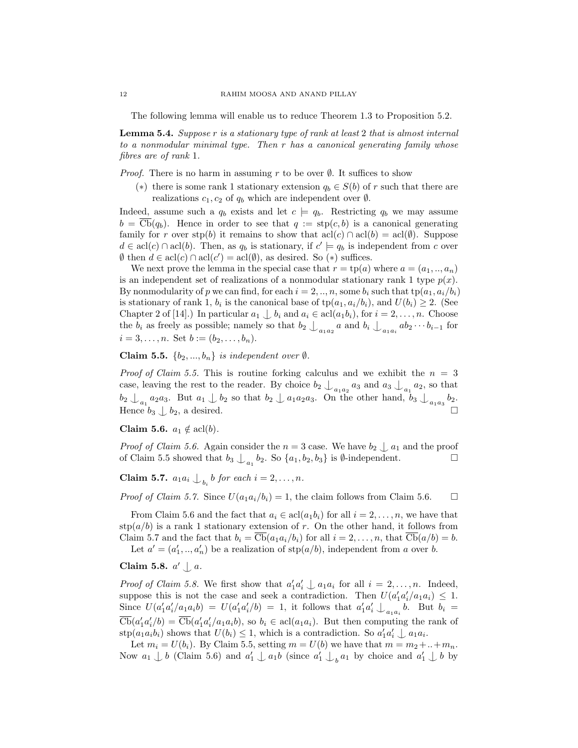The following lemma will enable us to reduce Theorem 1.3 to Proposition 5.2.

Lemma 5.4. Suppose r is a stationary type of rank at least 2 that is almost internal to a nonmodular minimal type. Then r has a canonical generating family whose fibres are of rank 1.

*Proof.* There is no harm in assuming r to be over  $\emptyset$ . It suffices to show

(\*) there is some rank 1 stationary extension  $q_b \in S(b)$  of r such that there are realizations  $c_1, c_2$  of  $q_b$  which are independent over  $\emptyset$ .

Indeed, assume such a  $q_b$  exists and let  $c \models q_b$ . Restricting  $q_b$  we may assume  $b = \text{Cb}(q_b)$ . Hence in order to see that  $q := \text{stp}(c, b)$  is a canonical generating family for r over stp(b) it remains to show that  $\text{acl}(c) \cap \text{acl}(b) = \text{acl}(\emptyset)$ . Suppose  $d \in \text{acl}(c) \cap \text{acl}(b)$ . Then, as  $q_b$  is stationary, if  $c' \models q_b$  is independent from c over  $\emptyset$  then  $d \in \text{acl}(c) \cap \text{acl}(c') = \text{acl}(\emptyset)$ , as desired. So (\*) suffices.

We next prove the lemma in the special case that  $r = \text{tp}(a)$  where  $a = (a_1, \ldots, a_n)$ is an independent set of realizations of a nonmodular stationary rank 1 type  $p(x)$ . By nonmodularity of p we can find, for each  $i = 2, ..., n$ , some  $b_i$  such that  $tp(a_1, a_i/b_i)$ is stationary of rank 1,  $b_i$  is the canonical base of  $tp(a_1, a_i/b_i)$ , and  $U(b_i) \geq 2$ . (See Chapter 2 of [14].) In particular  $a_1 \nightharpoonup b_i$  and  $a_i \in \text{acl}(a_1b_i)$ , for  $i = 2, \ldots, n$ . Choose the  $b_i$  as freely as possible; namely so that  $b_2 \bigcup_{a_1a_2} a$  and  $b_i \bigcup_{a_1a_i} ab_2 \cdots b_{i-1}$  for  $i = 3, \ldots, n$ . Set  $b := (b_2, \ldots, b_n)$ .

Claim 5.5.  $\{b_2, ..., b_n\}$  is independent over  $\emptyset$ .

*Proof of Claim 5.5.* This is routine forking calculus and we exhibit the  $n = 3$ case, leaving the rest to the reader. By choice  $b_2 \nightharpoonup_{a_1 a_2} a_3$  and  $a_3 \nightharpoonup_{a_1} a_2$ , so that  $b_2 \bigcup_{a_1} a_2 a_3$ . But  $a_1 \bigcup b_2$  so that  $b_2 \bigcup a_1 a_2 a_3$ . On the other hand,  $b_3 \bigcup_{a_1 a_3} b_2$ . Hence  $b_3 \downarrow b_2$ , a desired.

Claim 5.6.  $a_1 \notin \operatorname{acl}(b)$ .

*Proof of Claim 5.6.* Again consider the  $n = 3$  case. We have  $b_2 \nightharpoonup a_1$  and the proof of Claim 5.5 showed that  $b_3 \nightharpoonup b_2$ . So  $\{a_1, b_2, b_3\}$  is  $\emptyset$ -independent. of Claim 5.5 showed that  $b_3 \nightharpoonup_{a_1} b_2$ . So  $\{a_1, b_2, b_3\}$  is  $\emptyset$ -independent.

**Claim 5.7.**  $a_1 a_i \bigcup_{b_i} b$  for each  $i = 2, \ldots, n$ .

*Proof of Claim 5.7.* Since  $U(a_1a_i/b_i) = 1$ , the claim follows from Claim 5.6.  $\Box$ 

From Claim 5.6 and the fact that  $a_i \in \text{acl}(a_1b_i)$  for all  $i = 2, \ldots, n$ , we have that  $\text{stp}(a/b)$  is a rank 1 stationary extension of r. On the other hand, it follows from Claim 5.7 and the fact that  $b_i = \overline{\text{Cb}}(a_1a_i/b_i)$  for all  $i = 2, \ldots, n$ , that  $\overline{\text{Cb}}(a/b) = b$ .

Let  $a' = (a'_1, ..., a'_n)$  be a realization of  $\text{stp}(a/b)$ , independent from a over b.

# Claim 5.8.  $a' \downarrow a$ .

*Proof of Claim 5.8.* We first show that  $a'_1 a'_i \perp a_1 a_i$  for all  $i = 2, ..., n$ . Indeed, suppose this is not the case and seek a contradiction. Then  $U(a'_1a'_i/a_1a_i) \leq 1$ . Since  $U(a'_1a'_i/a_1a_ib) = U(a'_1a'_i/b) = 1$ , it follows that  $a'_1a'_i \downarrow_{a_1a_i} b$ . But  $b_i =$  $\overline{\text{Cb}}(a'_1a'_i/b) = \overline{\text{Cb}}(a'_1a'_i/a_1a_ib),$  so  $b_i \in \text{acl}(a_1a_i)$ . But then computing the rank of  $\text{stp}(a_1a_ib_i)$  shows that  $U(b_i) \leq 1$ , which is a contradiction. So  $a'_1a'_i \perp a_1a_i$ .

Let  $m_i = U(b_i)$ . By Claim 5.5, setting  $m = U(b)$  we have that  $m = m_2 + ... + m_n$ . Now  $a_1 \nightharpoonup b$  (Claim 5.6) and  $a'_1 \nightharpoonup a_1b$  (since  $a'_1 \nightharpoonup_b a_1$  by choice and  $a'_1 \nightharpoonup b$  by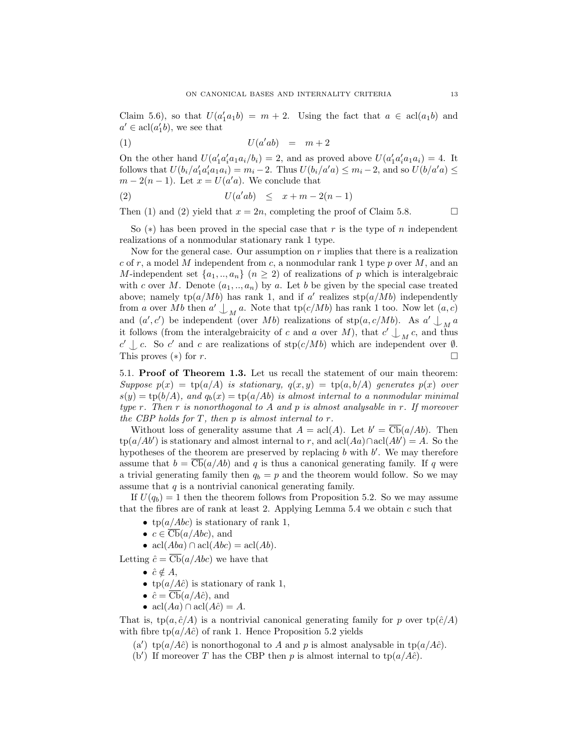Claim 5.6), so that  $U(a'_1a_1b) = m + 2$ . Using the fact that  $a \in \text{acl}(a_1b)$  and  $a' \in \operatorname{acl}(a_1'b)$ , we see that

$$
U(a'ab) = m+2
$$

On the other hand  $U(a'_1a'_ia_1a_i/b_i) = 2$ , and as proved above  $U(a'_1a'_ia_1a_i) = 4$ . It follows that  $U(b_i/a_1'a_1'a_1a_i) = m_i - 2$ . Thus  $U(b_i/a'a) \le m_i - 2$ , and so  $U(b/a'a) \le m_i$  $m-2(n-1)$ . Let  $x = U(a'a)$ . We conclude that

$$
(2) \tU(a'ab) \leq x + m - 2(n - 1)
$$

Then (1) and (2) yield that  $x = 2n$ , completing the proof of Claim 5.8.

So  $(*)$  has been proved in the special case that r is the type of n independent realizations of a nonmodular stationary rank 1 type.

Now for the general case. Our assumption on  $r$  implies that there is a realization c of r, a model M independent from c, a nonmodular rank 1 type p over  $M$ , and an M-independent set  $\{a_1, ..., a_n\}$   $(n \geq 2)$  of realizations of p which is interalgebraic with c over M. Denote  $(a_1, \ldots, a_n)$  by a. Let b be given by the special case treated above; namely  $tp(a/Mb)$  has rank 1, and if a' realizes  $stp(a/Mb)$  independently from a over Mb then  $a' \nightharpoonup_M a$ . Note that tp( $c/Mb$ ) has rank 1 too. Now let  $(a, c)$ and  $(a', c')$  be independent (over Mb) realizations of  $\text{stp}(a, c/Mb)$ . As  $a' \perp_M a$ it follows (from the interalgebraicity of c and a over M), that  $c' \bigcup_M c$ , and thus  $c' \perp c$ . So c' and c are realizations of stp(c/Mb) which are independent over  $\emptyset$ . This proves ( $*$ ) for r.

5.1. Proof of Theorem 1.3. Let us recall the statement of our main theorem: Suppose  $p(x) = \text{tp}(a/A)$  is stationary,  $q(x, y) = \text{tp}(a, b/A)$  generates  $p(x)$  over  $s(y) = \text{tp}(b/A)$ , and  $q_b(x) = \text{tp}(a/Ab)$  is almost internal to a nonmodular minimal type r. Then r is nonorthogonal to A and p is almost analysable in r. If moreover the CBP holds for  $T$ , then  $p$  is almost internal to  $r$ .

Without loss of generality assume that  $A = \text{acl}(A)$ . Let  $b' = \overline{\text{Cb}}(a/Ab)$ . Then tp(a/Ab') is stationary and almost internal to r, and  $\operatorname{acl}(Aa) \cap \operatorname{acl}(Ab') = A$ . So the hypotheses of the theorem are preserved by replacing  $b$  with  $b'$ . We may therefore assume that  $b = \text{Cb}(a/Ab)$  and q is thus a canonical generating family. If q were a trivial generating family then  $q_b = p$  and the theorem would follow. So we may assume that  $q$  is a nontrivial canonical generating family.

If  $U(q_b) = 1$  then the theorem follows from Proposition 5.2. So we may assume that the fibres are of rank at least 2. Applying Lemma  $5.4$  we obtain c such that

- tp( $a/Abc$ ) is stationary of rank 1,
- $c \in \overline{\mathit{Cb}}(a/Abc)$ , and

• acl $(Aba) \cap \text{acl}(Abc) = \text{acl}(Ab).$ 

Letting  $\hat{c} = \overline{\text{Cb}}(a/Abc)$  we have that

- $\hat{c} \notin A$ ,
- tp( $a/A\hat{c}$ ) is stationary of rank 1,
- $\hat{c} = \overline{\text{Cb}}(a/A\hat{c})$ , and
- acl $(Aa) \cap \text{acl}(A\hat{c}) = A$ .

That is,  $tp(a, \hat{c}/A)$  is a nontrivial canonical generating family for p over  $tp(\hat{c}/A)$ with fibre  $tp(a/A\hat{c})$  of rank 1. Hence Proposition 5.2 yields

(a') tp(a/Ac̄) is nonorthogonal to A and p is almost analysable in tp(a/Ac̄).

(b') If moreover T has the CBP then p is almost internal to  $tp(a/A\hat{c})$ .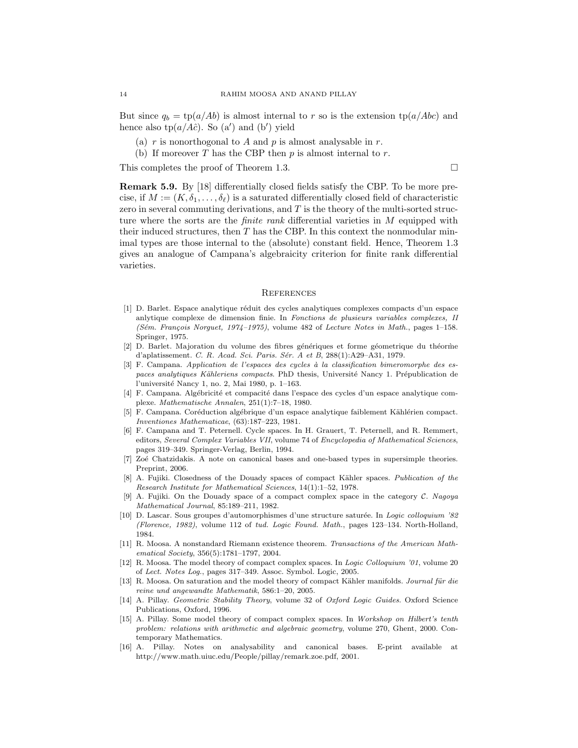But since  $q_b = \text{tp}(a/Ab)$  is almost internal to r so is the extension  $\text{tp}(a/Abc)$  and hence also  $tp(a/A\hat{c})$ . So  $(a')$  and  $(b')$  yield

- (a) r is nonorthogonal to A and p is almost analysable in r.
- (b) If moreover T has the CBP then  $p$  is almost internal to  $r$ .

This completes the proof of Theorem 1.3.

Remark 5.9. By [18] differentially closed fields satisfy the CBP. To be more precise, if  $M := (K, \delta_1, \ldots, \delta_\ell)$  is a saturated differentially closed field of characteristic zero in several commuting derivations, and  $T$  is the theory of the multi-sorted structure where the sorts are the *finite rank* differential varieties in M equipped with their induced structures, then  $T$  has the CBP. In this context the nonmodular minimal types are those internal to the (absolute) constant field. Hence, Theorem 1.3 gives an analogue of Campana's algebraicity criterion for finite rank differential varieties.

#### **REFERENCES**

- [1] D. Barlet. Espace analytique réduit des cycles analytiques complexes compacts d'un espace anlytique complexe de dimension finie. In Fonctions de plusieurs variables complexes, II (Sém. François Norguet, 1974–1975), volume 482 of Lecture Notes in Math., pages 1–158. Springer, 1975.
- [2] D. Barlet. Majoration du volume des fibres génériques et forme géometrique du théorme d'aplatissement. C. R. Acad. Sci. Paris. Sér. A et B, 288(1):A29-A31, 1979.
- $[3]$  F. Campana. Application de l'espaces des cycles à la classification bimeromorphe des espaces analytiques Kähleriens compacts. PhD thesis, Université Nancy 1. Prépublication de l'universit´e Nancy 1, no. 2, Mai 1980, p. 1–163.
- [4] F. Campana. Algébricité et compacité dans l'espace des cycles d'un espace analytique complexe. Mathematische Annalen, 251(1):7–18, 1980.
- [5] F. Campana. Coréduction algébrique d'un espace analytique faiblement Kählérien compact. Inventiones Mathematicae, (63):187–223, 1981.
- [6] F. Campana and T. Peternell. Cycle spaces. In H. Grauert, T. Peternell, and R. Remmert, editors, Several Complex Variables VII, volume 74 of Encyclopedia of Mathematical Sciences, pages 319–349. Springer-Verlag, Berlin, 1994.
- [7] Zoé Chatzidakis. A note on canonical bases and one-based types in supersimple theories. Preprint, 2006.
- [8] A. Fujiki. Closedness of the Douady spaces of compact Kähler spaces. Publication of the Research Institute for Mathematical Sciences, 14(1):1–52, 1978.
- [9] A. Fujiki. On the Douady space of a compact complex space in the category C. Nagoya Mathematical Journal, 85:189–211, 1982.
- [10] D. Lascar. Sous groupes d'automorphismes d'une structure saturée. In Logic colloquium '82 (Florence, 1982), volume 112 of tud. Logic Found. Math., pages 123–134. North-Holland, 1984.
- [11] R. Moosa. A nonstandard Riemann existence theorem. Transactions of the American Mathematical Society, 356(5):1781–1797, 2004.
- [12] R. Moosa. The model theory of compact complex spaces. In Logic Colloquium '01, volume 20 of Lect. Notes Log., pages 317–349. Assoc. Symbol. Logic, 2005.
- [13] R. Moosa. On saturation and the model theory of compact Kähler manifolds. Journal für die reine und angewandte Mathematik, 586:1–20, 2005.
- [14] A. Pillay. Geometric Stability Theory, volume 32 of Oxford Logic Guides. Oxford Science Publications, Oxford, 1996.
- [15] A. Pillay. Some model theory of compact complex spaces. In Workshop on Hilbert's tenth problem: relations with arithmetic and algebraic geometry, volume 270, Ghent, 2000. Contemporary Mathematics.
- [16] A. Pillay. Notes on analysability and canonical bases. E-print available at http://www.math.uiuc.edu/People/pillay/remark.zoe.pdf, 2001.